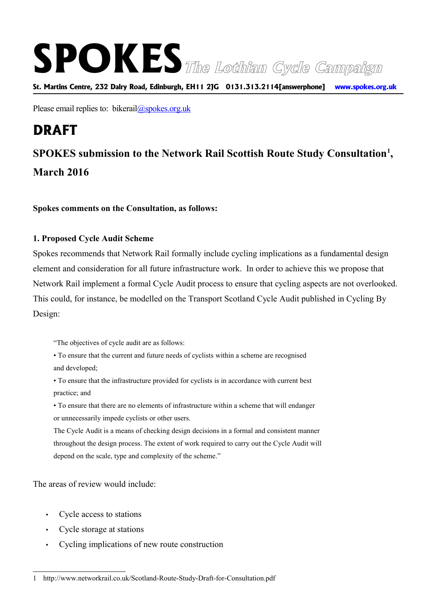# **SPOKESThe Lothian Cycle Campaign**

**St. Martins Centre, 232 Dalry Road, Edinburgh, EH11 2JG 0131.313.2114[answerphone] www.spokes.org.uk**

Please email replies to: bikerail $\omega$ spokes.org.uk

## **DRAFT**

### **SPOKES submission to the Network Rail Scottish Route Study Consultation[1](#page-0-0) , March 2016**

#### **Spokes comments on the Consultation, as follows:**

#### **1. Proposed Cycle Audit Scheme**

Spokes recommends that Network Rail formally include cycling implications as a fundamental design element and consideration for all future infrastructure work. In order to achieve this we propose that Network Rail implement a formal Cycle Audit process to ensure that cycling aspects are not overlooked. This could, for instance, be modelled on the Transport Scotland Cycle Audit published in Cycling By Design:

"The objectives of cycle audit are as follows:

• To ensure that the current and future needs of cyclists within a scheme are recognised and developed;

• To ensure that the infrastructure provided for cyclists is in accordance with current best practice; and

• To ensure that there are no elements of infrastructure within a scheme that will endanger or unnecessarily impede cyclists or other users.

The Cycle Audit is a means of checking design decisions in a formal and consistent manner throughout the design process. The extent of work required to carry out the Cycle Audit will depend on the scale, type and complexity of the scheme."

The areas of review would include.

- Cycle access to stations
- Cycle storage at stations
- Cycling implications of new route construction

<span id="page-0-0"></span><sup>1</sup> http://www.networkrail.co.uk/Scotland-Route-Study-Draft-for-Consultation.pdf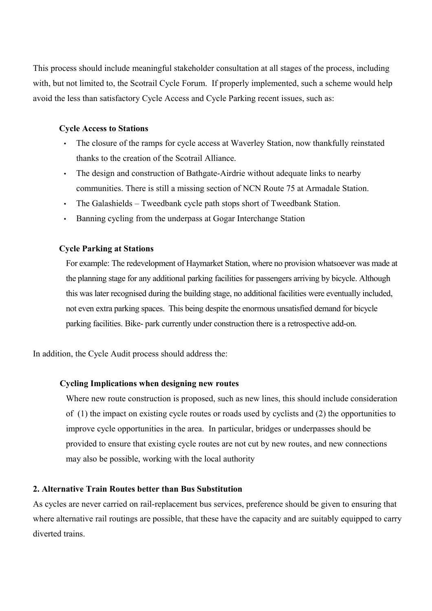This process should include meaningful stakeholder consultation at all stages of the process, including with, but not limited to, the Scotrail Cycle Forum. If properly implemented, such a scheme would help avoid the less than satisfactory Cycle Access and Cycle Parking recent issues, such as:

#### **Cycle Access to Stations**

- The closure of the ramps for cycle access at Waverley Station, now thankfully reinstated thanks to the creation of the Scotrail Alliance.
- The design and construction of Bathgate-Airdrie without adequate links to nearby communities. There is still a missing section of NCN Route 75 at Armadale Station.
- The Galashields Tweedbank cycle path stops short of Tweedbank Station.
- Banning cycling from the underpass at Gogar Interchange Station

#### **Cycle Parking at Stations**

For example: The redevelopment of Haymarket Station, where no provision whatsoever was made at the planning stage for any additional parking facilities for passengers arriving by bicycle. Although this was later recognised during the building stage, no additional facilities were eventually included, not even extra parking spaces. This being despite the enormous unsatisfied demand for bicycle parking facilities. Bike- park currently under construction there is a retrospective add-on.

In addition, the Cycle Audit process should address the:

#### **Cycling Implications when designing new routes**

Where new route construction is proposed, such as new lines, this should include consideration of (1) the impact on existing cycle routes or roads used by cyclists and (2) the opportunities to improve cycle opportunities in the area. In particular, bridges or underpasses should be provided to ensure that existing cycle routes are not cut by new routes, and new connections may also be possible, working with the local authority

#### **2. Alternative Train Routes better than Bus Substitution**

As cycles are never carried on rail-replacement bus services, preference should be given to ensuring that where alternative rail routings are possible, that these have the capacity and are suitably equipped to carry diverted trains.